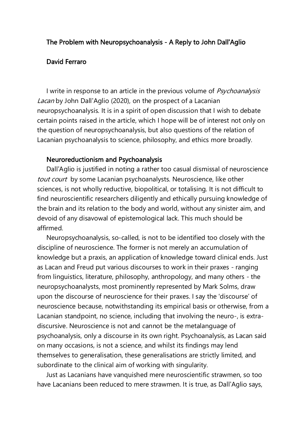## The Problem with Neuropsychoanalysis - A Reply to John Dall'Aglio

### David Ferraro

I write in response to an article in the previous volume of *Psychoanalysis* Lacan by John Dall'Aglio (2020), on the prospect of a Lacanian neuropsychoanalysis. It is in a spirit of open discussion that I wish to debate certain points raised in the article, which I hope will be of interest not only on the question of neuropsychoanalysis, but also questions of the relation of Lacanian psychoanalysis to science, philosophy, and ethics more broadly.

#### Neuroreductionism and Psychoanalysis

Dall'Aglio is justified in noting a rather too casual dismissal of neuroscience tout court by some Lacanian psychoanalysts. Neuroscience, like other sciences, is not wholly reductive, biopolitical, or totalising. It is not difficult to find neuroscientific researchers diligently and ethically pursuing knowledge of the brain and its relation to the body and world, without any sinister aim, and devoid of any disavowal of epistemological lack. This much should be affirmed.

Neuropsychoanalysis, so-called, is not to be identified too closely with the discipline of neuroscience. The former is not merely an accumulation of knowledge but a praxis, an application of knowledge toward clinical ends. Just as Lacan and Freud put various discourses to work in their praxes - ranging from linguistics, literature, philosophy, anthropology, and many others - the neuropsychoanalysts, most prominently represented by Mark Solms, draw upon the discourse of neuroscience for their praxes. I say the 'discourse' of neuroscience because, notwithstanding its empirical basis or otherwise, from a Lacanian standpoint, no science, including that involving the neuro-, is extradiscursive. Neuroscience is not and cannot be the metalanguage of psychoanalysis, only a discourse in its own right. Psychoanalysis, as Lacan said on many occasions, is not a science, and whilst its findings may lend themselves to generalisation, these generalisations are strictly limited, and subordinate to the clinical aim of working with singularity.

Just as Lacanians have vanquished mere neuroscientific strawmen, so too have Lacanians been reduced to mere strawmen. It is true, as Dall'Aglio says,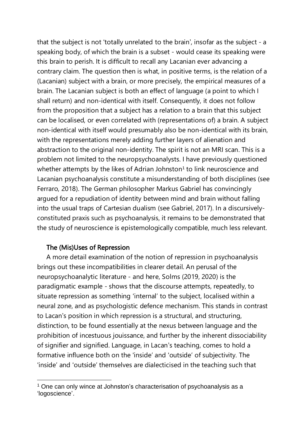that the subject is not 'totally unrelated to the brain', insofar as the subject - a speaking body, of which the brain is a subset - would cease its speaking were this brain to perish. It is difficult to recall any Lacanian ever advancing a contrary claim. The question then is what, in positive terms, is the relation of a (Lacanian) subject with a brain, or more precisely, the empirical measures of a brain. The Lacanian subject is both an effect of language (a point to which I shall return) and non-identical with itself. Consequently, it does not follow from the proposition that a subject has a relation to a brain that this subject can be localised, or even correlated with (representations of) a brain. A subject non-identical with itself would presumably also be non-identical with its brain, with the representations merely adding further layers of alienation and abstraction to the original non-identity. The spirit is not an MRI scan. This is a problem not limited to the neuropsychoanalysts. I have previously questioned whether attempts by the likes of Adrian Johnston<sup>1</sup> to link neuroscience and Lacanian psychoanalysis constitute a misunderstanding of both disciplines (see Ferraro, 2018). The German philosopher Markus Gabriel has convincingly argued for a repudiation of identity between mind and brain without falling into the usual traps of Cartesian dualism (see Gabriel, 2017). In a discursivelyconstituted praxis such as psychoanalysis, it remains to be demonstrated that the study of neuroscience is epistemologically compatible, much less relevant.

# The (Mis)Uses of Repression

A more detail examination of the notion of repression in psychoanalysis brings out these incompatibilities in clearer detail. An perusal of the neuropsychoanalytic literature - and here, Solms (2019, 2020) is the paradigmatic example - shows that the discourse attempts, repeatedly, to situate repression as something 'internal' to the subject, localised within a neural zone, and as psychologistic defence mechanism. This stands in contrast to Lacan's position in which repression is a structural, and structuring, distinction, to be found essentially at the nexus between language and the prohibition of incestuous jouissance, and further by the inherent dissociability of signifier and signified. Language, in Lacan's teaching, comes to hold a formative influence both on the 'inside' and 'outside' of subjectivity. The 'inside' and 'outside' themselves are dialecticised in the teaching such that

<sup>&</sup>lt;sup>1</sup> One can only wince at Johnston's characterisation of psychoanalysis as a 'logoscience'.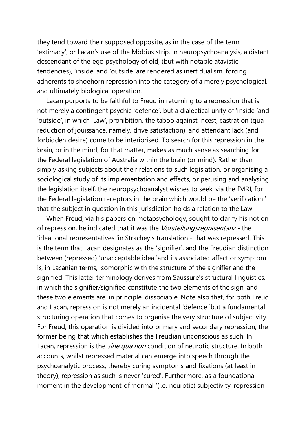they tend toward their supposed opposite, as in the case of the term 'extimacy', or Lacan's use of the Möbius strip. In neuropsychoanalysis, a distant descendant of the ego psychology of old, (but with notable atavistic tendencies), 'inside 'and 'outside 'are rendered as inert dualism, forcing adherents to shoehorn repression into the category of a merely psychological, and ultimately biological operation.

Lacan purports to be faithful to Freud in returning to a repression that is not merely a contingent psychic 'defence', but a dialectical unity of 'inside 'and 'outside', in which 'Law', prohibition, the taboo against incest, castration (qua reduction of jouissance, namely, drive satisfaction), and attendant lack (and forbidden desire) come to be interiorised. To search for this repression in the brain, or in the mind, for that matter, makes as much sense as searching for the Federal legislation of Australia within the brain (or mind). Rather than simply asking subjects about their relations to such legislation, or organising a sociological study of its implementation and effects, or perusing and analysing the legislation itself, the neuropsychoanalyst wishes to seek, via the fMRI, for the Federal legislation receptors in the brain which would be the 'verification ' that the subject in question in this jurisdiction holds a relation to the Law.

When Freud, via his papers on metapsychology, sought to clarify his notion of repression, he indicated that it was the Vorstellungsrepräsentanz - the 'ideational representatives 'in Strachey's translation - that was repressed. This is the term that Lacan designates as the 'signifier', and the Freudian distinction between (repressed) 'unacceptable idea 'and its associated affect or symptom is, in Lacanian terms, isomorphic with the structure of the signifier and the signified. This latter terminology derives from Saussure's structural linguistics, in which the signifier/signified constitute the two elements of the sign, and these two elements are, in principle, dissociable. Note also that, for both Freud and Lacan, repression is not merely an incidental 'defence 'but a fundamental structuring operation that comes to organise the very structure of subjectivity. For Freud, this operation is divided into primary and secondary repression, the former being that which establishes the Freudian unconscious as such. In Lacan, repression is the *sine qua non* condition of neurotic structure. In both accounts, whilst repressed material can emerge into speech through the psychoanalytic process, thereby curing symptoms and fixations (at least in theory), repression as such is never 'cured'. Furthermore, as a foundational moment in the development of 'normal '(i.e. neurotic) subjectivity, repression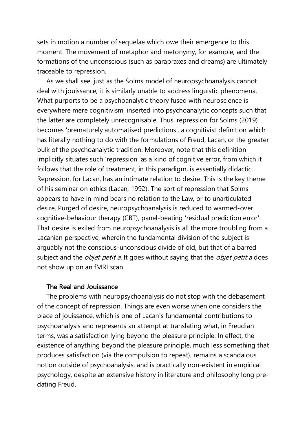sets in motion a number of sequelae which owe their emergence to this moment. The movement of metaphor and metonymy, for example, and the formations of the unconscious (such as parapraxes and dreams) are ultimately traceable to repression.

As we shall see, just as the Solms model of neuropsychoanalysis cannot deal with jouissance, it is similarly unable to address linguistic phenomena. What purports to be a psychoanalytic theory fused with neuroscience is everywhere mere cognitivism, inserted into psychoanalytic concepts such that the latter are completely unrecognisable. Thus, repression for Solms (2019) becomes 'prematurely automatised predictions', a cognitivist definition which has literally nothing to do with the formulations of Freud, Lacan, or the greater bulk of the psychoanalytic tradition. Moreover, note that this definition implicitly situates such 'repression 'as a kind of cognitive error, from which it follows that the role of treatment, in this paradigm, is essentially didactic. Repression, for Lacan, has an intimate relation to desire. This is the key theme of his seminar on ethics (Lacan, 1992). The sort of repression that Solms appears to have in mind bears no relation to the Law, or to unarticulated desire. Purged of desire, neuropsychoanalysis is reduced to warmed-over cognitive-behaviour therapy (CBT), panel-beating 'residual prediction error'. That desire is exiled from neuropsychoanalysis is all the more troubling from a Lacanian perspective, wherein the fundamental division of the subject is arguably not the conscious-unconscious divide of old, but that of a barred subject and the *objet petit a*. It goes without saying that the *objet petit a* does not show up on an fMRI scan.

## The Real and Jouissance

The problems with neuropsychoanalysis do not stop with the debasement of the concept of repression. Things are even worse when one considers the place of jouissance, which is one of Lacan's fundamental contributions to psychoanalysis and represents an attempt at translating what, in Freudian terms, was a satisfaction lying beyond the pleasure principle. In effect, the existence of anything beyond the pleasure principle, much less something that produces satisfaction (via the compulsion to repeat), remains a scandalous notion outside of psychoanalysis, and is practically non-existent in empirical psychology, despite an extensive history in literature and philosophy long predating Freud.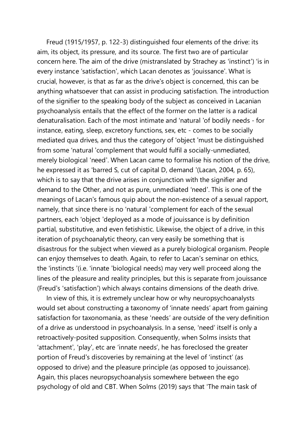Freud (1915/1957, p. 122-3) distinguished four elements of the drive: its aim, its object, its pressure, and its source. The first two are of particular concern here. The aim of the drive (mistranslated by Strachey as 'instinct') 'is in every instance 'satisfaction', which Lacan denotes as 'jouissance'. What is crucial, however, is that as far as the drive's object is concerned, this can be anything whatsoever that can assist in producing satisfaction. The introduction of the signifier to the speaking body of the subject as conceived in Lacanian psychoanalysis entails that the effect of the former on the latter is a radical denaturalisation. Each of the most intimate and 'natural 'of bodily needs - for instance, eating, sleep, excretory functions, sex, etc - comes to be socially mediated qua drives, and thus the category of 'object 'must be distinguished from some 'natural 'complement that would fulfil a socially-unmediated, merely biological 'need'. When Lacan came to formalise his notion of the drive, he expressed it as 'barred S, cut of capital D, demand '(Lacan, 2004, p. 65), which is to say that the drive arises in conjunction with the signifier and demand to the Other, and not as pure, unmediated 'need'. This is one of the meanings of Lacan's famous quip about the non-existence of a sexual rapport, namely, that since there is no 'natural 'complement for each of the sexual partners, each 'object 'deployed as a mode of jouissance is by definition partial, substitutive, and even fetishistic. Likewise, the object of a drive, in this iteration of psychoanalytic theory, can very easily be something that is disastrous for the subject when viewed as a purely biological organism. People can enjoy themselves to death. Again, to refer to Lacan's seminar on ethics, the 'instincts '(i.e. 'innate 'biological needs) may very well proceed along the lines of the pleasure and reality principles, but this is separate from jouissance (Freud's 'satisfaction') which always contains dimensions of the death drive.

In view of this, it is extremely unclear how or why neuropsychoanalysts would set about constructing a taxonomy of 'innate needs' apart from gaining satisfaction for taxonomania, as these 'needs' are outside of the very definition of a drive as understood in psychoanalysis. In a sense, 'need' itself is only a retroactively-posited supposition. Consequently, when Solms insists that 'attachment', 'play', etc are 'innate needs', he has foreclosed the greater portion of Freud's discoveries by remaining at the level of 'instinct' (as opposed to drive) and the pleasure principle (as opposed to jouissance). Again, this places neuropsychoanalysis somewhere between the ego psychology of old and CBT. When Solms (2019) says that 'The main task of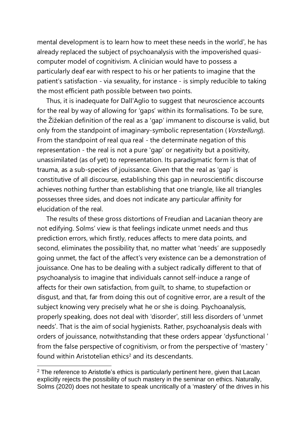mental development is to learn how to meet these needs in the world', he has already replaced the subject of psychoanalysis with the impoverished quasicomputer model of cognitivism. A clinician would have to possess a particularly deaf ear with respect to his or her patients to imagine that the patient's satisfaction - via sexuality, for instance - is simply reducible to taking the most efficient path possible between two points.

Thus, it is inadequate for Dall'Aglio to suggest that neuroscience accounts for the real by way of allowing for 'gaps' within its formalisations. To be sure, the Žižekian definition of the real as a 'gap' immanent to discourse is valid, but only from the standpoint of imaginary-symbolic representation (Vorstellung). From the standpoint of real qua real - the determinate negation of this representation - the real is not a pure 'gap' or negativity but a positivity, unassimilated (as of yet) to representation. Its paradigmatic form is that of trauma, as a sub-species of jouissance. Given that the real as 'gap' is constitutive of all discourse, establishing this gap in neuroscientific discourse achieves nothing further than establishing that one triangle, like all triangles possesses three sides, and does not indicate any particular affinity for elucidation of the real.

The results of these gross distortions of Freudian and Lacanian theory are not edifying. Solms' view is that feelings indicate unmet needs and thus prediction errors, which firstly, reduces affects to mere data points, and second, eliminates the possibility that, no matter what 'needs' are supposedly going unmet, the fact of the affect's very existence can be a demonstration of jouissance. One has to be dealing with a subject radically different to that of psychoanalysis to imagine that individuals cannot self-induce a range of affects for their own satisfaction, from guilt, to shame, to stupefaction or disgust, and that, far from doing this out of cognitive error, are a result of the subject knowing very precisely what he or she is doing. Psychoanalysis, properly speaking, does not deal with 'disorder', still less disorders of 'unmet needs'. That is the aim of social hygienists. Rather, psychoanalysis deals with orders of jouissance, notwithstanding that these orders appear 'dysfunctional ' from the false perspective of cognitivism, or from the perspective of 'mastery ' found within Aristotelian ethics<sup>2</sup> and its descendants.

 $2$  The reference to Aristotle's ethics is particularly pertinent here, given that Lacan explicitly rejects the possibility of such mastery in the seminar on ethics. Naturally, Solms (2020) does not hesitate to speak uncritically of a 'mastery' of the drives in his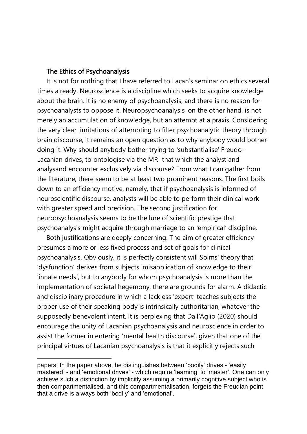### The Ethics of Psychoanalysis

It is not for nothing that I have referred to Lacan's seminar on ethics several times already. Neuroscience is a discipline which seeks to acquire knowledge about the brain. It is no enemy of psychoanalysis, and there is no reason for psychoanalysts to oppose it. Neuropsychoanalysis, on the other hand, is not merely an accumulation of knowledge, but an attempt at a praxis. Considering the very clear limitations of attempting to filter psychoanalytic theory through brain discourse, it remains an open question as to why anybody would bother doing it. Why should anybody bother trying to 'substantialise' Freudo-Lacanian drives, to ontologise via the MRI that which the analyst and analysand encounter exclusively via discourse? From what I can gather from the literature, there seem to be at least two prominent reasons. The first boils down to an efficiency motive, namely, that if psychoanalysis is informed of neuroscientific discourse, analysts will be able to perform their clinical work with greater speed and precision. The second justification for neuropsychoanalysis seems to be the lure of scientific prestige that psychoanalysis might acquire through marriage to an 'empirical' discipline.

Both justifications are deeply concerning. The aim of greater efficiency presumes a more or less fixed process and set of goals for clinical psychoanalysis. Obviously, it is perfectly consistent will Solms' theory that 'dysfunction' derives from subjects 'misapplication of knowledge to their 'innate needs', but to anybody for whom psychoanalysis is more than the implementation of societal hegemony, there are grounds for alarm. A didactic and disciplinary procedure in which a lackless 'expert' teaches subjects the proper use of their speaking body is intrinsically authoritarian, whatever the supposedly benevolent intent. It is perplexing that Dall'Aglio (2020) should encourage the unity of Lacanian psychoanalysis and neuroscience in order to assist the former in entering 'mental health discourse', given that one of the principal virtues of Lacanian psychoanalysis is that it explicitly rejects such

papers. In the paper above, he distinguishes between 'bodily' drives - 'easily mastered' - and 'emotional drives' - which require 'learning' to 'master'. One can only achieve such a distinction by implicitly assuming a primarily cognitive subject who is then compartmentalised, and this compartmentalisation, forgets the Freudian point that a drive is always both 'bodily' and 'emotional'.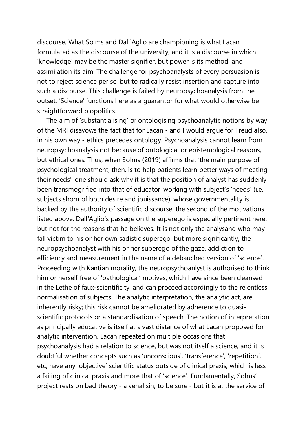discourse. What Solms and Dall'Aglio are championing is what Lacan formulated as the discourse of the university, and it is a discourse in which 'knowledge' may be the master signifier, but power is its method, and assimilation its aim. The challenge for psychoanalysts of every persuasion is not to reject science per se, but to radically resist insertion and capture into such a discourse. This challenge is failed by neuropsychoanalysis from the outset. 'Science' functions here as a guarantor for what would otherwise be straightforward biopolitics.

The aim of 'substantialising' or ontologising psychoanalytic notions by way of the MRI disavows the fact that for Lacan - and I would argue for Freud also, in his own way - ethics precedes ontology. Psychoanalysis cannot learn from neuropsychoanalysis not because of ontological or epistemological reasons, but ethical ones. Thus, when Solms (2019) affirms that 'the main purpose of psychological treatment, then, is to help patients learn better ways of meeting their needs', one should ask why it is that the position of analyst has suddenly been transmogrified into that of educator, working with subject's 'needs' (i.e. subjects shorn of both desire and jouissance), whose governmentality is backed by the authority of scientific discourse, the second of the motivations listed above. Dall'Aglio's passage on the superego is especially pertinent here, but not for the reasons that he believes. It is not only the analysand who may fall victim to his or her own sadistic superego, but more significantly, the neuropsychoanalyst with his or her superego of the gaze, addiction to efficiency and measurement in the name of a debauched version of 'science'. Proceeding with Kantian morality, the neuropsychoanlyst is authorised to think him or herself free of 'pathological' motives, which have since been cleansed in the Lethe of faux-scientificity, and can proceed accordingly to the relentless normalisation of subjects. The analytic interpretation, the analytic act, are inherently risky; this risk cannot be ameliorated by adherence to quasiscientific protocols or a standardisation of speech. The notion of interpretation as principally educative is itself at a vast distance of what Lacan proposed for analytic intervention. Lacan repeated on multiple occasions that psychoanalysis had a relation to science, but was not itself a science, and it is doubtful whether concepts such as 'unconscious', 'transference', 'repetition', etc, have any 'objective' scientific status outside of clinical praxis, which is less a failing of clinical praxis and more that of 'science'. Fundamentally, Solms' project rests on bad theory - a venal sin, to be sure - but it is at the service of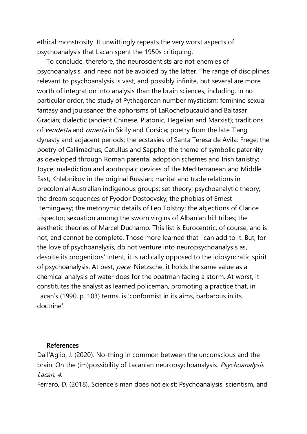ethical monstrosity. It unwittingly repeats the very worst aspects of psychoanalysis that Lacan spent the 1950s critiquing.

To conclude, therefore, the neuroscientists are not enemies of psychoanalysis, and need not be avoided by the latter. The range of disciplines relevant to psychoanalysis is vast, and possibly infinite, but several are more worth of integration into analysis than the brain sciences, including, in no particular order, the study of Pythagorean number mysticism; feminine sexual fantasy and jouissance; the aphorisms of LaRochefoucauld and Baltasar Gracián; dialectic (ancient Chinese, Platonic, Hegelian and Marxist); traditions of vendetta and omertá in Sicily and Corsica; poetry from the late T'ang dynasty and adjacent periods; the ecstasies of Santa Teresa de Avila; Frege; the poetry of Callimachus, Catullus and Sappho; the theme of symbolic paternity as developed through Roman parental adoption schemes and Irish tanistry; Joyce; malediction and apotropaic devices of the Mediterranean and Middle East; Khlebnikov in the original Russian; marital and trade relations in precolonial Australian indigenous groups; set theory; psychoanalytic theory; the dream sequences of Fyodor Dostoevsky; the phobias of Ernest Hemingway; the metonymic details of Leo Tolstoy; the abjections of Clarice Lispector; sexuation among the sworn virgins of Albanian hill tribes; the aesthetic theories of Marcel Duchamp. This list is Eurocentric, of course, and is not, and cannot be complete. Those more learned that I can add to it. But, for the love of psychoanalysis, do not venture into neuropsychoanalysis as, despite its progenitors' intent, it is radically opposed to the idiosyncratic spirit of psychoanalysis. At best, pace Nietzsche, it holds the same value as a chemical analysis of water does for the boatman facing a storm. At worst, it constitutes the analyst as learned policeman, promoting a practice that, in Lacan's (1990, p. 103) terms, is 'conformist in its aims, barbarous in its doctrine'.

## References

Dall'Aglio, J. (2020). No-thing in common between the unconscious and the brain: On the (im)possibility of Lacanian neuropsychoanalysis. Psychoanalysis Lacan, <sup>4</sup>.

Ferraro, D. (2018). Science's man does not exist: Psychoanalysis, scientism, and